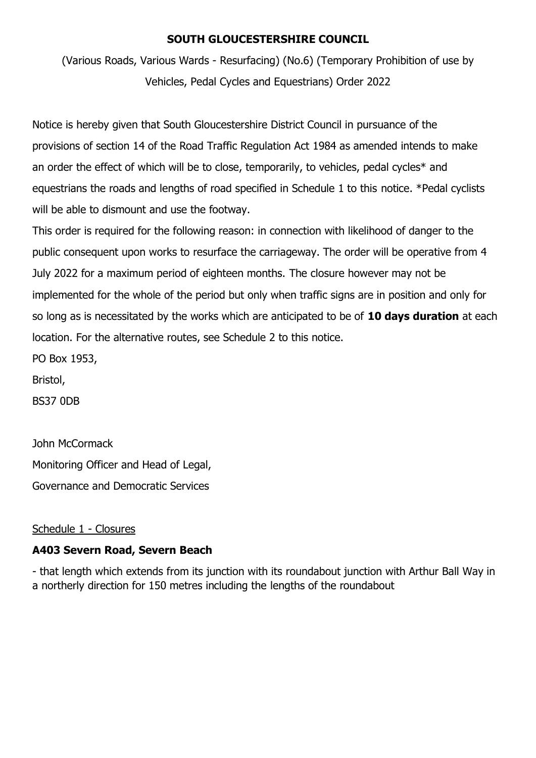## **SOUTH GLOUCESTERSHIRE COUNCIL**

(Various Roads, Various Wards - Resurfacing) (No.6) (Temporary Prohibition of use by Vehicles, Pedal Cycles and Equestrians) Order 2022

Notice is hereby given that South Gloucestershire District Council in pursuance of the provisions of section 14 of the Road Traffic Regulation Act 1984 as amended intends to make an order the effect of which will be to close, temporarily, to vehicles, pedal cycles\* and equestrians the roads and lengths of road specified in Schedule 1 to this notice. \*Pedal cyclists will be able to dismount and use the footway.

This order is required for the following reason: in connection with likelihood of danger to the public consequent upon works to resurface the carriageway. The order will be operative from 4 July 2022 for a maximum period of eighteen months. The closure however may not be implemented for the whole of the period but only when traffic signs are in position and only for so long as is necessitated by the works which are anticipated to be of **10 days duration** at each location. For the alternative routes, see Schedule 2 to this notice.

PO Box 1953,

Bristol,

BS37 0DB

John McCormack

Monitoring Officer and Head of Legal,

Governance and Democratic Services

## Schedule 1 - Closures

## **A403 Severn Road, Severn Beach**

- that length which extends from its junction with its roundabout junction with Arthur Ball Way in a northerly direction for 150 metres including the lengths of the roundabout